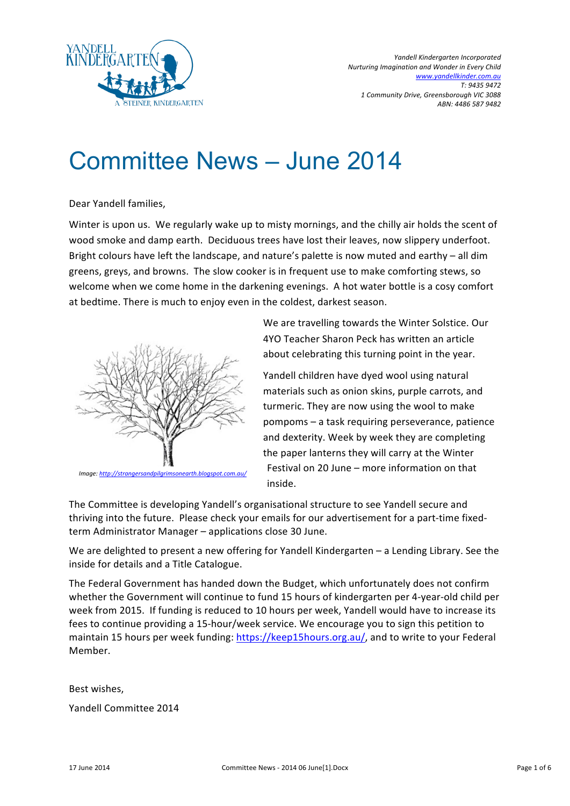

# Committee News – June 2014

Dear Yandell families,

Winter is upon us. We regularly wake up to misty mornings, and the chilly air holds the scent of wood smoke and damp earth. Deciduous trees have lost their leaves, now slippery underfoot. Bright colours have left the landscape, and nature's palette is now muted and earthy – all dim greens, greys, and browns. The slow cooker is in frequent use to make comforting stews, so welcome when we come home in the darkening evenings. A hot water bottle is a cosy comfort at bedtime. There is much to enjoy even in the coldest, darkest season.



*Image:!http://strangersandpilgrimsonearth.blogspot.com.au/*

We are travelling towards the Winter Solstice. Our 4YO Teacher Sharon Peck has written an article about celebrating this turning point in the year.

Yandell children have dyed wool using natural materials such as onion skins, purple carrots, and turmeric. They are now using the wool to make  $pompoms - a task requiring perseverage, patience$ and dexterity. Week by week they are completing the paper lanterns they will carry at the Winter Festival on  $20$  June – more information on that inside.

The Committee is developing Yandell's organisational structure to see Yandell secure and thriving into the future. Please check your emails for our advertisement for a part-time fixedterm Administrator Manager – applications close 30 June.

We are delighted to present a new offering for Yandell Kindergarten – a Lending Library. See the inside for details and a Title Catalogue.

The Federal Government has handed down the Budget, which unfortunately does not confirm whether the Government will continue to fund 15 hours of kindergarten per 4-year-old child per week from 2015. If funding is reduced to 10 hours per week, Yandell would have to increase its fees to continue providing a 15-hour/week service. We encourage you to sign this petition to maintain 15 hours per week funding: https://keep15hours.org.au/, and to write to your Federal Member.

Best wishes,

Yandell Committee 2014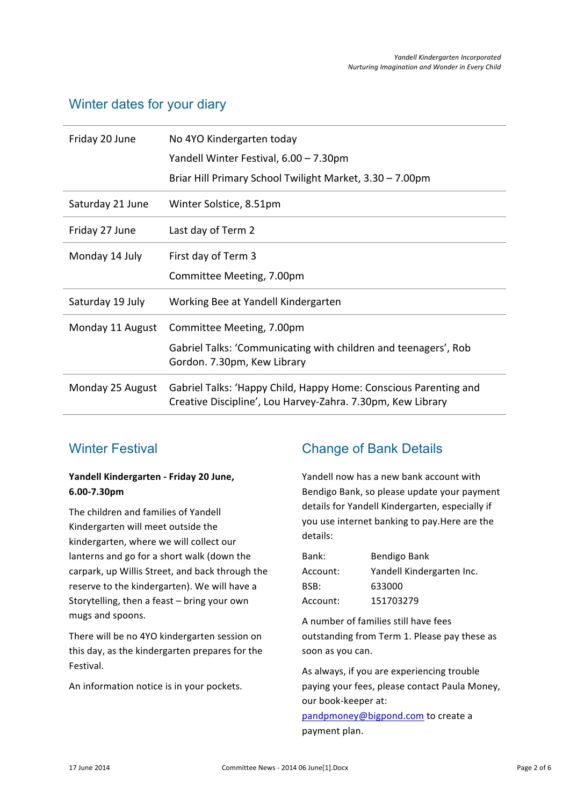#### Winter dates for your diary

| Friday 20 June   | No 4YO Kindergarten today<br>Yandell Winter Festival, 6.00 - 7.30pm<br>Briar Hill Primary School Twilight Market, 3.30 - 7.00pm |
|------------------|---------------------------------------------------------------------------------------------------------------------------------|
| Saturday 21 June | Winter Solstice, 8.51pm                                                                                                         |
| Friday 27 June   | Last day of Term 2                                                                                                              |
| Monday 14 July   | First day of Term 3<br>Committee Meeting, 7.00pm                                                                                |
| Saturday 19 July | Working Bee at Yandell Kindergarten                                                                                             |
| Monday 11 August | Committee Meeting, 7.00pm<br>Gabriel Talks: 'Communicating with children and teenagers', Rob<br>Gordon. 7.30pm, Kew Library     |
| Monday 25 August | Gabriel Talks: 'Happy Child, Happy Home: Conscious Parenting and<br>Creative Discipline', Lou Harvey-Zahra. 7.30pm, Kew Library |

## Winter Festival

#### Yandell Kindergarten - Friday 20 June, **6.00-7.30pm**

The children and families of Yandell Kindergarten will meet outside the kindergarten, where we will collect our lanterns and go for a short walk (down the carpark, up Willis Street, and back through the reserve to the kindergarten). We will have a Storytelling, then a feast – bring your own mugs and spoons.

There will be no 4YO kindergarten session on this day, as the kindergarten prepares for the Festival.

An information notice is in your pockets.

# Change of Bank Details

Yandell now has a new bank account with Bendigo Bank, so please update your payment details for Yandell Kindergarten, especially if you use internet banking to pay.Here are the details:

| Bank:    | Bendigo Bank              |
|----------|---------------------------|
| Account: | Yandell Kindergarten Inc. |
| BSB:     | 633000                    |
| Account: | 151703279                 |

A number of families still have fees outstanding from Term 1. Please pay these as soon as you can.

As always, if you are experiencing trouble paying your fees, please contact Paula Money, our book-keeper at:

pandpmoney@bigpond.com to create a payment plan.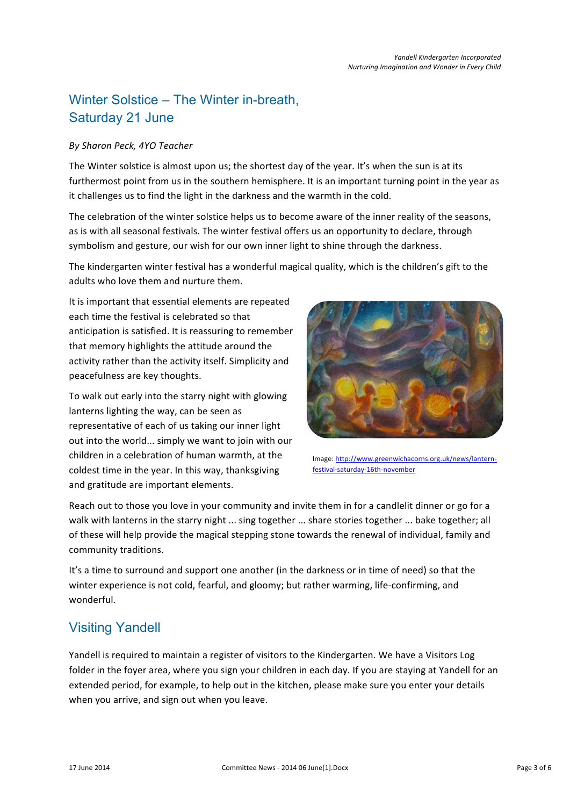# Winter Solstice – The Winter in-breath, Saturday 21 June

#### *By!Sharon!Peck,!4YO!Teacher*

The Winter solstice is almost upon us; the shortest day of the year. It's when the sun is at its furthermost point from us in the southern hemisphere. It is an important turning point in the year as it challenges us to find the light in the darkness and the warmth in the cold.

The celebration of the winter solstice helps us to become aware of the inner reality of the seasons, as is with all seasonal festivals. The winter festival offers us an opportunity to declare, through symbolism and gesture, our wish for our own inner light to shine through the darkness.

The kindergarten winter festival has a wonderful magical quality, which is the children's gift to the adults who love them and nurture them.

It is important that essential elements are repeated each time the festival is celebrated so that anticipation is satisfied. It is reassuring to remember that memory highlights the attitude around the activity rather than the activity itself. Simplicity and peacefulness are key thoughts.

To walk out early into the starry night with glowing lanterns lighting the way, can be seen as representative of each of us taking our inner light out into the world... simply we want to join with our children in a celebration of human warmth, at the coldest time in the year. In this way, thanksgiving and gratitude are important elements.



Image: http://www.greenwichacorns.org.uk/news/lanternfestival-saturday-16th-november

Reach out to those you love in your community and invite them in for a candlelit dinner or go for a walk with lanterns in the starry night ... sing together ... share stories together ... bake together; all of these will help provide the magical stepping stone towards the renewal of individual, family and community traditions.

It's a time to surround and support one another (in the darkness or in time of need) so that the winter experience is not cold, fearful, and gloomy; but rather warming, life-confirming, and wonderful.

## Visiting Yandell

Yandell is required to maintain a register of visitors to the Kindergarten. We have a Visitors Log folder in the foyer area, where you sign your children in each day. If you are staying at Yandell for an extended period, for example, to help out in the kitchen, please make sure you enter your details when you arrive, and sign out when you leave.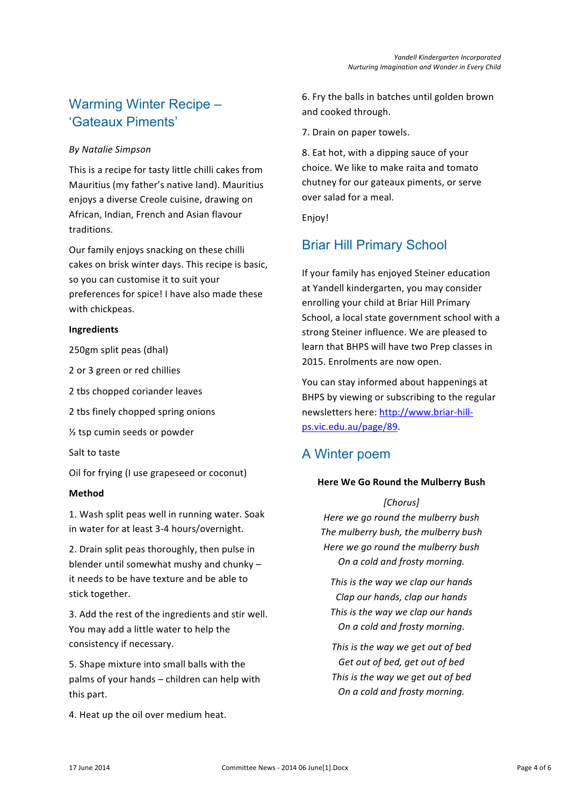# Warming Winter Recipe – 'Gateaux Piments'

#### *By!Natalie!Simpson*

This is a recipe for tasty little chilli cakes from Mauritius (my father's native land). Mauritius enjoys a diverse Creole cuisine, drawing on African, Indian, French and Asian flavour traditions.

Our family enjoys snacking on these chilli cakes on brisk winter days. This recipe is basic, so you can customise it to suit your preferences for spice! I have also made these with chickpeas.

#### **Ingredients**

250gm split peas (dhal)

2 or 3 green or red chillies

- 2 tbs chopped coriander leaves
- 2 tbs finely chopped spring onions
- $\frac{1}{2}$  tsp cumin seeds or powder

Salt to taste

Oil for frying (I use grapeseed or coconut)

#### **Method**

1. Wash split peas well in running water. Soak in water for at least 3-4 hours/overnight.

2. Drain split peas thoroughly, then pulse in blender until somewhat mushy and chunky – it needs to be have texture and be able to stick together.

3. Add the rest of the ingredients and stir well. You may add a little water to help the consistency if necessary.

5. Shape mixture into small balls with the palms of your hands – children can help with this part.

4. Heat up the oil over medium heat.

6. Fry the balls in batches until golden brown and cooked through.

7. Drain on paper towels.

8. Eat hot, with a dipping sauce of your choice. We like to make raita and tomato chutney for our gateaux piments, or serve over salad for a meal.

Enjoy!

# Briar Hill Primary School

If your family has enjoyed Steiner education at Yandell kindergarten, you may consider enrolling your child at Briar Hill Primary School, a local state government school with a strong Steiner influence. We are pleased to learn that BHPS will have two Prep classes in 2015. Enrolments are now open.

You can stay informed about happenings at BHPS by viewing or subscribing to the regular newsletters here: http://www.briar-hillps.vic.edu.au/page/89.

## A Winter poem

#### **Here We Go Round the Mulberry Bush**

#### *[Chorus]*

*Here!we!go!round!the!mulberry!bush The!mulberry!bush,!the!mulberry!bush Here we go round the mulberry bush On!a!cold!and!frosty!morning.*

This is the way we clap our hands *Clap!our!hands,!clap!our!hands* This is the way we clap our hands **On a cold and frosty morning.** 

This is the way we get out of bed Get out of bed, get out of bed This is the way we get out of bed *On!a!cold!and!frosty!morning.*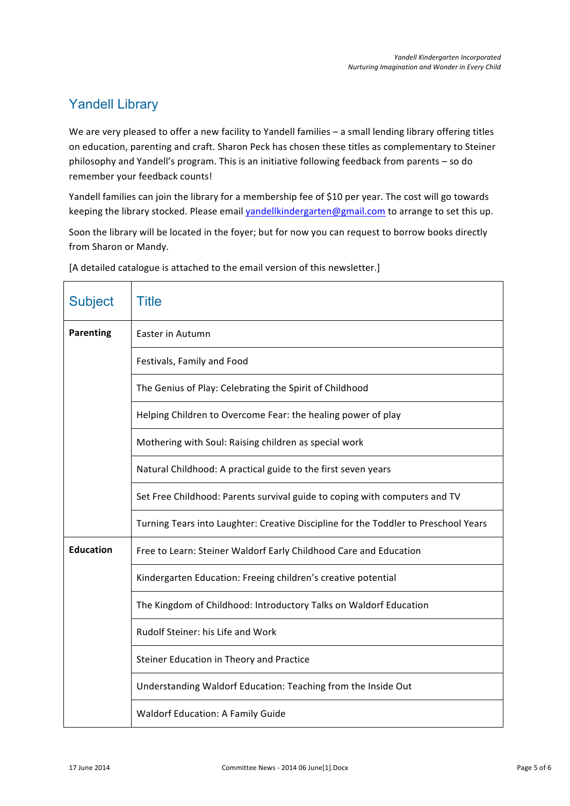# Yandell Library

We are very pleased to offer a new facility to Yandell families – a small lending library offering titles on education, parenting and craft. Sharon Peck has chosen these titles as complementary to Steiner philosophy and Yandell's program. This is an initiative following feedback from parents – so do remember your feedback counts!

Yandell families can join the library for a membership fee of \$10 per year. The cost will go towards keeping the library stocked. Please email yandellkindergarten@gmail.com to arrange to set this up.

Soon the library will be located in the foyer; but for now you can request to borrow books directly from Sharon or Mandy.

| <b>Subject</b>   | <b>Title</b>                                                                        |
|------------------|-------------------------------------------------------------------------------------|
| <b>Parenting</b> | Easter in Autumn                                                                    |
|                  | Festivals, Family and Food                                                          |
|                  | The Genius of Play: Celebrating the Spirit of Childhood                             |
|                  | Helping Children to Overcome Fear: the healing power of play                        |
|                  | Mothering with Soul: Raising children as special work                               |
|                  | Natural Childhood: A practical guide to the first seven years                       |
|                  | Set Free Childhood: Parents survival guide to coping with computers and TV          |
|                  | Turning Tears into Laughter: Creative Discipline for the Toddler to Preschool Years |
| <b>Education</b> | Free to Learn: Steiner Waldorf Early Childhood Care and Education                   |
|                  | Kindergarten Education: Freeing children's creative potential                       |
|                  | The Kingdom of Childhood: Introductory Talks on Waldorf Education                   |
|                  | Rudolf Steiner: his Life and Work                                                   |
|                  | Steiner Education in Theory and Practice                                            |
|                  | Understanding Waldorf Education: Teaching from the Inside Out                       |
|                  | <b>Waldorf Education: A Family Guide</b>                                            |

[A detailed catalogue is attached to the email version of this newsletter.]